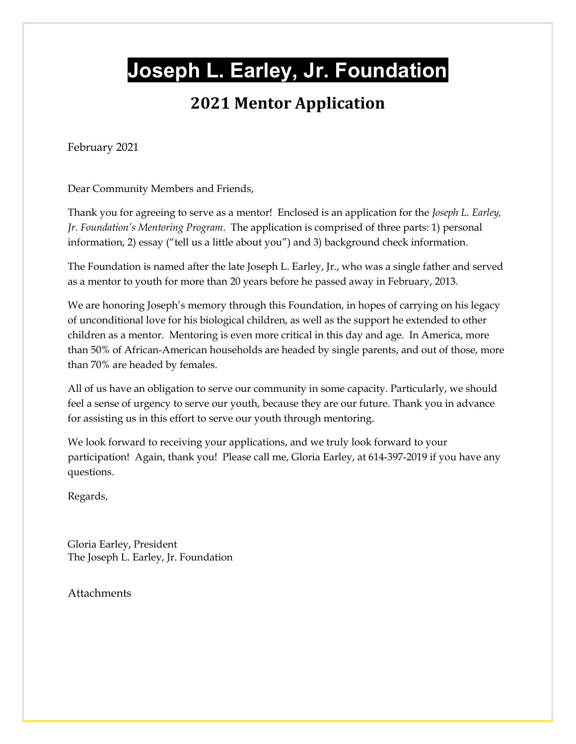## **Joseph L. Earley, Jr. Foundation**

#### **2021 Mentor Application**

February 2021

Dear Community Members and Friends,

Thank you for agreeing to serve as a mentor! Enclosed is an application for the *Joseph L. Earley, Jr. Foundation's Mentoring Program*. The application is comprised of three parts: 1) personal information, 2) essay ("tell us a little about you") and 3) background check information.

The Foundation is named after the late Joseph L. Earley, Jr., who was a single father and served as a mentor to youth for more than 20 years before he passed away in February, 2013.

We are honoring Joseph's memory through this Foundation, in hopes of carrying on his legacy of unconditional love for his biological children, as well as the support he extended to other children as a mentor. Mentoring is even more critical in this day and age. In America, more than 50% of African-American households are headed by single parents, and out of those, more than 70% are headed by females.

All of us have an obligation to serve our community in some capacity. Particularly, we should feel a sense of urgency to serve our youth, because they are our future. Thank you in advance for assisting us in this effort to serve our youth through mentoring.

We look forward to receiving your applications, and we truly look forward to your participation! Again, thank you! Please call me, Gloria Earley, at 614-397-2019 if you have any questions.

Regards,

Gloria Earley, President The Joseph L. Earley, Jr. Foundation

**Attachments**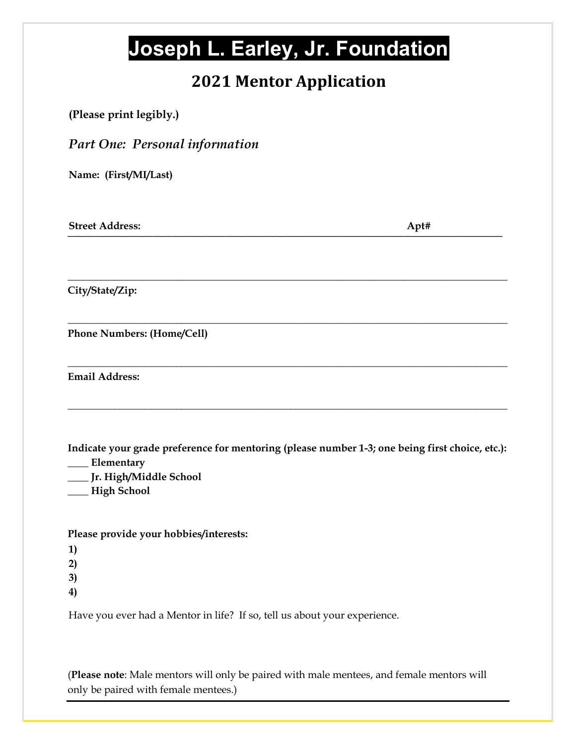# **Joseph L. Earley, Jr. Foundation**

### **2021 Mentor Application**

| (Please print legibly.)                                                                                                                                       |  |
|---------------------------------------------------------------------------------------------------------------------------------------------------------------|--|
| <b>Part One: Personal information</b>                                                                                                                         |  |
| Name: (First/MI/Last)                                                                                                                                         |  |
| <b>Street Address:</b><br>Apt#                                                                                                                                |  |
| City/State/Zip:                                                                                                                                               |  |
| Phone Numbers: (Home/Cell)                                                                                                                                    |  |
| <b>Email Address:</b>                                                                                                                                         |  |
| Indicate your grade preference for mentoring (please number 1-3; one being first choice, etc.):<br>Elementary<br>Jr. High/Middle School<br><b>High School</b> |  |
| Please provide your hobbies/interests:                                                                                                                        |  |
| Have you ever had a Mentor in life? If so, tell us about your experience.                                                                                     |  |

(**Please note**: Male mentors will only be paired with male mentees, and female mentors will only be paired with female mentees.)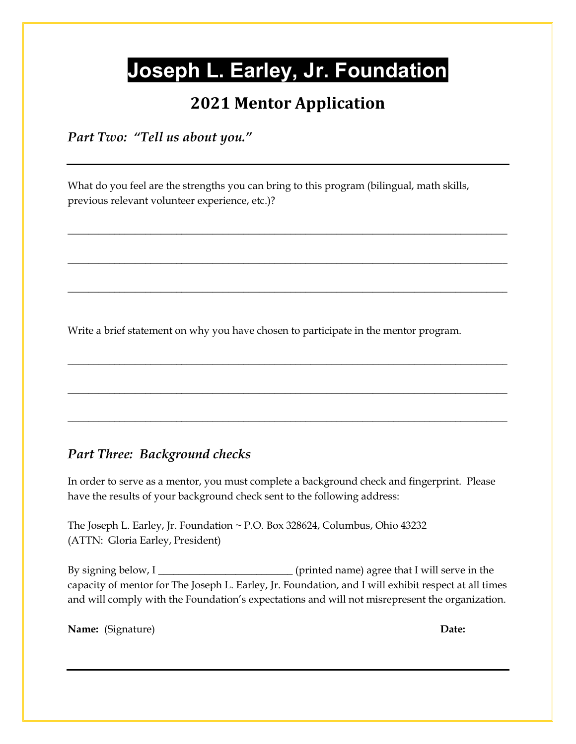## **Joseph L. Earley, Jr. Foundation**

#### **2021 Mentor Application**

*Part Two: "Tell us about you."*

What do you feel are the strengths you can bring to this program (bilingual, math skills, previous relevant volunteer experience, etc.)?

\_\_\_\_\_\_\_\_\_\_\_\_\_\_\_\_\_\_\_\_\_\_\_\_\_\_\_\_\_\_\_\_\_\_\_\_\_\_\_\_\_\_\_\_\_\_\_\_\_\_\_\_\_\_\_\_\_\_\_\_\_\_\_\_\_\_\_\_\_\_\_\_\_\_\_\_\_\_\_\_\_\_\_\_\_

**\_\_\_\_\_\_\_\_\_\_\_\_\_\_\_\_\_\_\_\_\_\_\_\_\_\_\_\_\_\_\_\_\_\_\_\_\_\_\_\_\_\_\_\_\_\_\_\_\_\_\_\_\_\_\_\_\_\_\_\_\_\_\_\_\_\_\_\_\_\_\_\_\_\_\_\_\_\_\_\_\_\_\_\_\_** 

**\_\_\_\_\_\_\_\_\_\_\_\_\_\_\_\_\_\_\_\_\_\_\_\_\_\_\_\_\_\_\_\_\_\_\_\_\_\_\_\_\_\_\_\_\_\_\_\_\_\_\_\_\_\_\_\_\_\_\_\_\_\_\_\_\_\_\_\_\_\_\_\_\_\_\_\_\_\_\_\_\_\_\_\_\_** 

**\_\_\_\_\_\_\_\_\_\_\_\_\_\_\_\_\_\_\_\_\_\_\_\_\_\_\_\_\_\_\_\_\_\_\_\_\_\_\_\_\_\_\_\_\_\_\_\_\_\_\_\_\_\_\_\_\_\_\_\_\_\_\_\_\_\_\_\_\_\_\_\_\_\_\_\_\_\_\_\_\_\_\_\_\_** 

**\_\_\_\_\_\_\_\_\_\_\_\_\_\_\_\_\_\_\_\_\_\_\_\_\_\_\_\_\_\_\_\_\_\_\_\_\_\_\_\_\_\_\_\_\_\_\_\_\_\_\_\_\_\_\_\_\_\_\_\_\_\_\_\_\_\_\_\_\_\_\_\_\_\_\_\_\_\_\_\_\_\_\_\_\_** 

**\_\_\_\_\_\_\_\_\_\_\_\_\_\_\_\_\_\_\_\_\_\_\_\_\_\_\_\_\_\_\_\_\_\_\_\_\_\_\_\_\_\_\_\_\_\_\_\_\_\_\_\_\_\_\_\_\_\_\_\_\_\_\_\_\_\_\_\_\_\_\_\_\_\_\_\_\_\_\_\_\_\_\_\_\_** 

Write a brief statement on why you have chosen to participate in the mentor program.

#### *Part Three: Background checks*

In order to serve as a mentor, you must complete a background check and fingerprint. Please have the results of your background check sent to the following address:

The Joseph L. Earley, Jr. Foundation ~ P.O. Box 328624, Columbus, Ohio 43232 (ATTN: Gloria Earley, President)

By signing below, I \_\_\_\_\_\_\_\_\_\_\_\_\_\_\_\_\_\_\_\_\_\_\_\_\_\_ (printed name) agree that I will serve in the capacity of mentor for The Joseph L. Earley, Jr. Foundation, and I will exhibit respect at all times and will comply with the Foundation's expectations and will not misrepresent the organization.

**Name:** (Signature) **Date:**